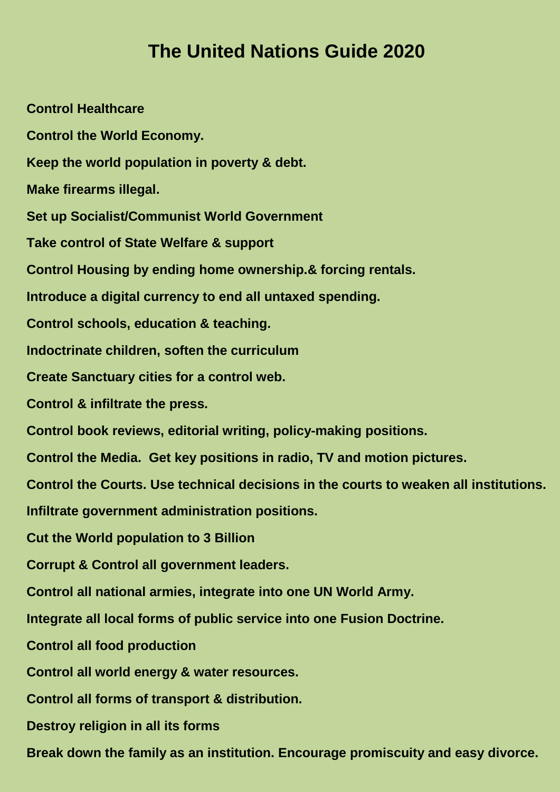## **The United Nations Guide 2020**

**Control Healthcare Control the World Economy. Keep the world population in poverty & debt. Make firearms illegal. Set up Socialist/Communist World Government Take control of State Welfare & support Control Housing by ending home ownership.& forcing rentals. Introduce a digital currency to end all untaxed spending. Control schools, education & teaching. Indoctrinate children, soften the curriculum Create Sanctuary cities for a control web. Control & infiltrate the press. Control book reviews, editorial writing, policy-making positions. Control the Media. Get key positions in radio, TV and motion pictures. Control the Courts. Use technical decisions in the courts to weaken all institutions. Infiltrate government administration positions. Cut the World population to 3 Billion Corrupt & Control all government leaders. Control all national armies, integrate into one UN World Army. Integrate all local forms of public service into one Fusion Doctrine. Control all food production Control all world energy & water resources. Control all forms of transport & distribution. Destroy religion in all its forms Break down the family as an institution. Encourage promiscuity and easy divorce.**